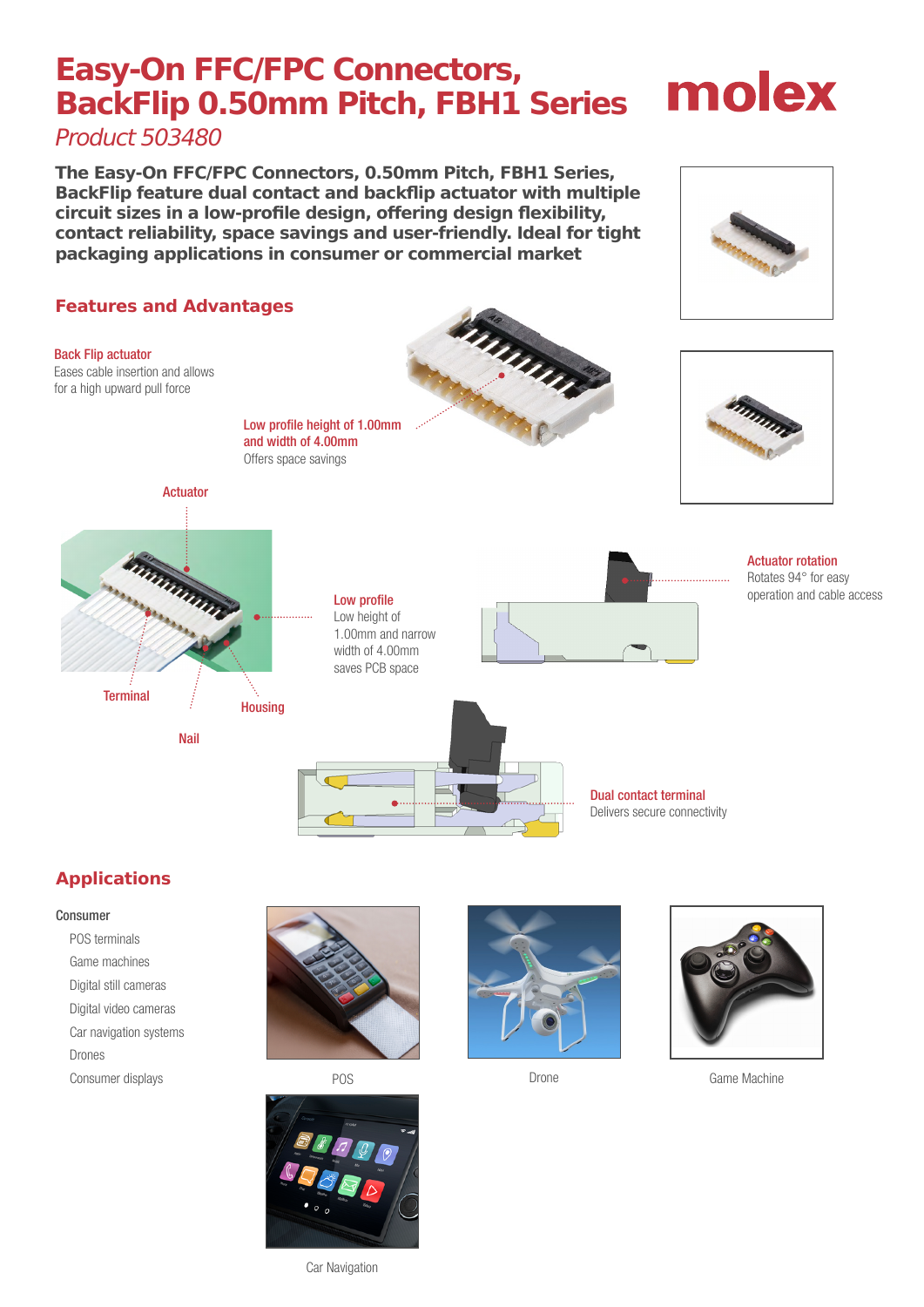## **Easy-On FFC/FPC Connectors, BackFlip 0.50mm Pitch, FBH1 Series**

Product 503480

**The Easy-On FFC/FPC Connectors, 0.50mm Pitch, FBH1 Series, BackFlip feature dual contact and backflip actuator with multiple circuit sizes in a low-profile design, offering design flexibility, contact reliability, space savings and user-friendly. Ideal for tight packaging applications in consumer or commercial market**



## **Applications**

#### Consumer

POS terminals Game machines Digital still cameras Digital video cameras Car navigation systems Drones Consumer displays







POS **Drone** Drone Game Machine



molex

Rotates 94° for easy operation and cable access

Car Navigation